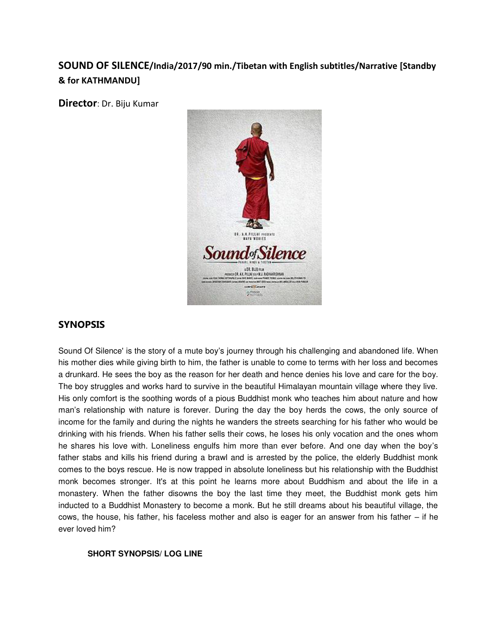# **SOUND OF SILENCE/India/2017/90 min./Tibetan with English subtitles/Narrative [Standby & for KATHMANDU]**

**Director**: Dr. Biju Kumar



# **SYNOPSIS**

Sound Of Silence' is the story of a mute boy's journey through his challenging and abandoned life. When his mother dies while giving birth to him, the father is unable to come to terms with her loss and becomes a drunkard. He sees the boy as the reason for her death and hence denies his love and care for the boy. The boy struggles and works hard to survive in the beautiful Himalayan mountain village where they live. His only comfort is the soothing words of a pious Buddhist monk who teaches him about nature and how man's relationship with nature is forever. During the day the boy herds the cows, the only source of income for the family and during the nights he wanders the streets searching for his father who would be drinking with his friends. When his father sells their cows, he loses his only vocation and the ones whom he shares his love with. Loneliness engulfs him more than ever before. And one day when the boy's father stabs and kills his friend during a brawl and is arrested by the police, the elderly Buddhist monk comes to the boys rescue. He is now trapped in absolute loneliness but his relationship with the Buddhist monk becomes stronger. It's at this point he learns more about Buddhism and about the life in a monastery. When the father disowns the boy the last time they meet, the Buddhist monk gets him inducted to a Buddhist Monastery to become a monk. But he still dreams about his beautiful village, the cows, the house, his father, his faceless mother and also is eager for an answer from his father – if he ever loved him?

# **SHORT SYNOPSIS/ LOG LINE**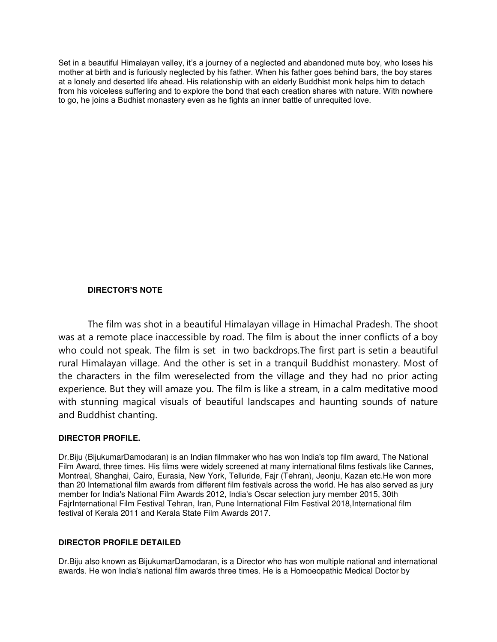Set in a beautiful Himalayan valley, it's a journey of a neglected and abandoned mute boy, who loses his mother at birth and is furiously neglected by his father. When his father goes behind bars, the boy stares at a lonely and deserted life ahead. His relationship with an elderly Buddhist monk helps him to detach from his voiceless suffering and to explore the bond that each creation shares with nature. With nowhere to go, he joins a Budhist monastery even as he fights an inner battle of unrequited love.

# **DIRECTOR'S NOTE**

The film was shot in a beautiful Himalayan village in Himachal Pradesh. The shoot was at a remote place inaccessible by road. The film is about the inner conflicts of a boy who could not speak. The film is set in two backdrops.The first part is setin a beautiful rural Himalayan village. And the other is set in a tranquil Buddhist monastery. Most of the characters in the film wereselected from the village and they had no prior acting experience. But they will amaze you. The film is like a stream, in a calm meditative mood with stunning magical visuals of beautiful landscapes and haunting sounds of nature and Buddhist chanting.

#### **DIRECTOR PROFILE.**

Dr.Biju (BijukumarDamodaran) is an Indian filmmaker who has won India's top film award, The National Film Award, three times. His films were widely screened at many international films festivals like Cannes, Montreal, Shanghai, Cairo, Eurasia, New York, Telluride, Fajr (Tehran), Jeonju, Kazan etc.He won more than 20 International film awards from different film festivals across the world. He has also served as jury member for India's National Film Awards 2012, India's Oscar selection jury member 2015, 30th FajrInternational Film Festival Tehran, Iran, Pune International Film Festival 2018,International film festival of Kerala 2011 and Kerala State Film Awards 2017.

#### **DIRECTOR PROFILE DETAILED**

Dr.Biju also known as BijukumarDamodaran, is a Director who has won multiple national and international awards. He won India's national film awards three times. He is a Homoeopathic Medical Doctor by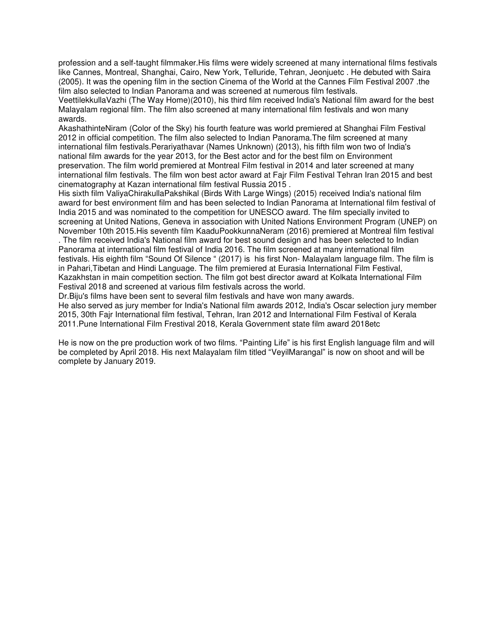profession and a self-taught filmmaker.His films were widely screened at many international films festivals like Cannes, Montreal, Shanghai, Cairo, New York, Telluride, Tehran, Jeonjuetc . He debuted with Saira (2005). It was the opening film in the section Cinema of the World at the Cannes Film Festival 2007 .the film also selected to Indian Panorama and was screened at numerous film festivals.

VeettilekkullaVazhi (The Way Home)(2010), his third film received India's National film award for the best Malayalam regional film. The film also screened at many international film festivals and won many awards.

AkashathinteNiram (Color of the Sky) his fourth feature was world premiered at Shanghai Film Festival 2012 in official competition. The film also selected to Indian Panorama.The film screened at many international film festivals.Perariyathavar (Names Unknown) (2013), his fifth film won two of India's national film awards for the year 2013, for the Best actor and for the best film on Environment preservation. The film world premiered at Montreal Film festival in 2014 and later screened at many international film festivals. The film won best actor award at Fajr Film Festival Tehran Iran 2015 and best cinematography at Kazan international film festival Russia 2015 .

His sixth film ValiyaChirakullaPakshikal (Birds With Large Wings) (2015) received India's national film award for best environment film and has been selected to Indian Panorama at International film festival of India 2015 and was nominated to the competition for UNESCO award. The film specially invited to screening at United Nations, Geneva in association with United Nations Environment Program (UNEP) on November 10th 2015.His seventh film KaaduPookkunnaNeram (2016) premiered at Montreal film festival

. The film received India's National film award for best sound design and has been selected to Indian Panorama at international film festival of India 2016. The film screened at many international film festivals. His eighth film "Sound Of Silence " (2017) is his first Non- Malayalam language film. The film is in Pahari,Tibetan and Hindi Language. The film premiered at Eurasia International Film Festival, Kazakhstan in main competition section. The film got best director award at Kolkata International Film Festival 2018 and screened at various film festivals across the world.

Dr.Biju's films have been sent to several film festivals and have won many awards.

He also served as jury member for India's National film awards 2012, India's Oscar selection jury member 2015, 30th Fajr International film festival, Tehran, Iran 2012 and International Film Festival of Kerala 2011.Pune International Film Frestival 2018, Kerala Government state film award 2018etc

He is now on the pre production work of two films. "Painting Life" is his first English language film and will be completed by April 2018. His next Malayalam film titled "VeyilMarangal" is now on shoot and will be complete by January 2019.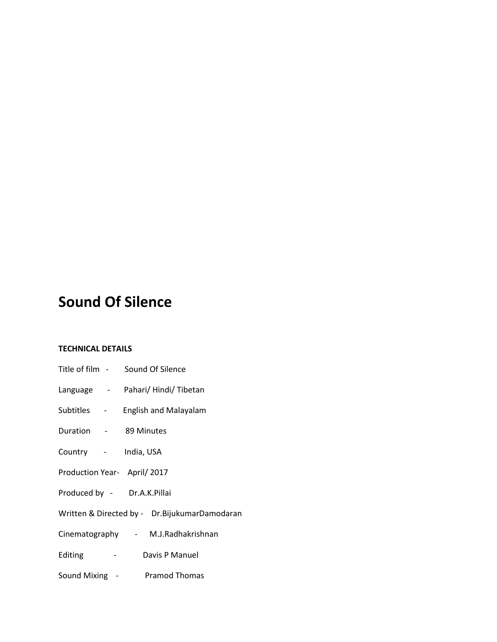# **Sound Of Silence**

# **TECHNICAL DETAILS**

| Title of film - Sound Of Silence                |
|-------------------------------------------------|
| Language - Pahari/Hindi/Tibetan                 |
| Subtitles - English and Malayalam               |
| Duration - 89 Minutes                           |
| Country - India, USA                            |
| Production Year- April/2017                     |
| Produced by - Dr.A.K.Pillai                     |
| Written & Directed by - Dr. Bijukumar Damodaran |
| Cinematography - M.J.Radhakrishnan              |
| - Davis P Manuel<br>Editing                     |
| Sound Mixing - Pramod Thomas                    |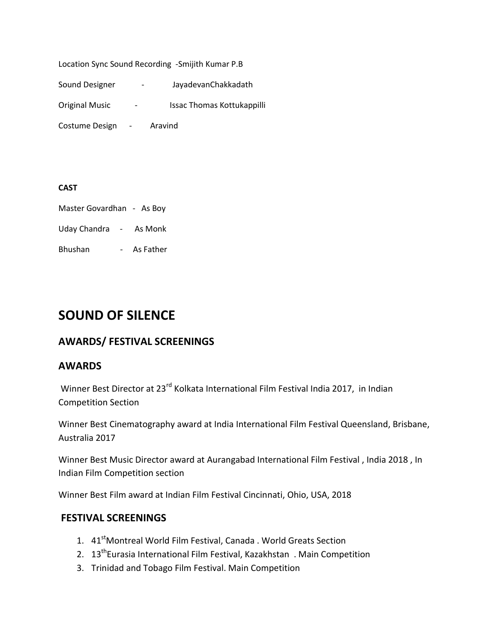Location Sync Sound Recording -Smijith Kumar P.B

Sound Designer - JayadevanChakkadath

Original Music <sup>-</sup> Issac Thomas Kottukappilli

Costume Design - Aravind

#### **CAST**

Master Govardhan - As Boy

Uday Chandra - As Monk

Bhushan - As Father

# **SOUND OF SILENCE**

# **AWARDS/ FESTIVAL SCREENINGS**

# **AWARDS**

Winner Best Director at 23<sup>rd</sup> Kolkata International Film Festival India 2017, in Indian Competition Section

Winner Best Cinematography award at India International Film Festival Queensland, Brisbane, Australia 2017

Winner Best Music Director award at Aurangabad International Film Festival , India 2018 , In Indian Film Competition section

Winner Best Film award at Indian Film Festival Cincinnati, Ohio, USA, 2018

# **FESTIVAL SCREENINGS**

- 1. 41<sup>st</sup>Montreal World Film Festival, Canada . World Greats Section
- 2. 13<sup>th</sup>Eurasia International Film Festival, Kazakhstan . Main Competition
- 3. Trinidad and Tobago Film Festival. Main Competition